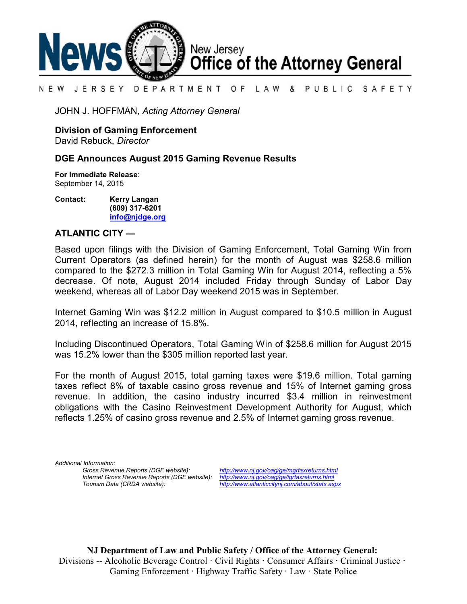

#### N E W JERSEY DEPARTMENT OF LAW & PUBLIC SAFETY

JOHN J. HOFFMAN, *Acting Attorney General*

**Division of Gaming Enforcement**

David Rebuck, *Director*

## **DGE Announces August 2015 Gaming Revenue Results**

**For Immediate Release**: September 14, 2015

**Contact: Kerry Langan (609) 317-6201 [info@njdge.org](file:///|//info@njdge.org)**

## **ATLANTIC CITY —**

Based upon filings with the Division of Gaming Enforcement, Total Gaming Win from Current Operators (as defined herein) for the month of August was \$258.6 million compared to the \$272.3 million in Total Gaming Win for August 2014, reflecting a 5% decrease. Of note, August 2014 included Friday through Sunday of Labor Day weekend, whereas all of Labor Day weekend 2015 was in September.

Internet Gaming Win was \$12.2 million in August compared to \$10.5 million in August 2014, reflecting an increase of 15.8%.

Including Discontinued Operators, Total Gaming Win of \$258.6 million for August 2015 was 15.2% lower than the \$305 million reported last year.

For the month of August 2015, total gaming taxes were \$19.6 million. Total gaming taxes reflect 8% of taxable casino gross revenue and 15% of Internet gaming gross revenue. In addition, the casino industry incurred \$3.4 million in reinvestment obligations with the Casino Reinvestment Development Authority for August, which reflects 1.25% of casino gross revenue and 2.5% of Internet gaming gross revenue.

*Additional Information: Internet Gross Revenue Reports (DGE website):*<br>Tourism Data (CRDA website):

*Gross Revenue Reports (DGE website): <http://www.nj.gov/oag/ge/mgrtaxreturns.html> Tourism Data (CRDA website): <http://www.atlanticcitynj.com/about/stats.aspx>*

**NJ Department of Law and Public Safety / Office of the Attorney General:** Divisions -- Alcoholic Beverage Control · Civil Rights **·** Consumer Affairs **·** Criminal Justice **·**  Gaming Enforcement **·** Highway Traffic Safety **·** Law · State Police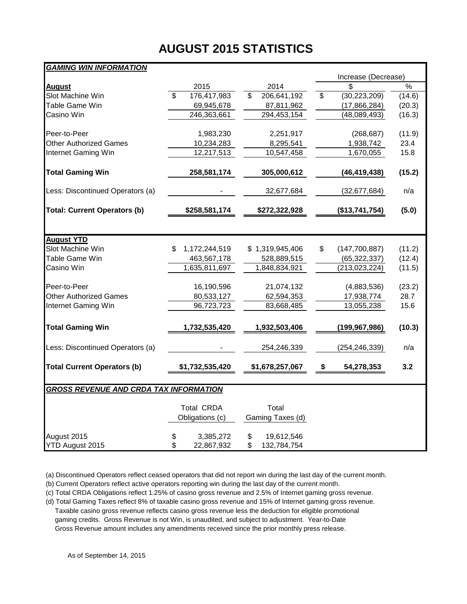# **AUGUST 2015 STATISTICS**

## *GAMING WIN INFORMATION*

| $\%$<br>2014<br>\$<br>2015<br>August<br>Slot Machine Win<br>\$<br>176,417,983<br>\$<br>206,641,192<br>\$<br>(30, 223, 209)<br>(14.6)<br>Table Game Win<br>69,945,678<br>(20.3)<br>87,811,962<br>(17, 866, 284)<br>Casino Win<br>246,363,661<br>294,453,154<br>(16.3)<br>(48,089,493)<br>1,983,230<br>Peer-to-Peer<br>2,251,917<br>(268, 687)<br>(11.9)<br><b>Other Authorized Games</b><br>10,234,283<br>23.4<br>8,295,541<br>1,938,742<br>Internet Gaming Win<br>12,217,513<br>15.8<br>10,547,458<br>1,670,055<br><b>Total Gaming Win</b><br>258,581,174<br>305,000,612<br>(46, 419, 438)<br>(15.2)<br>Less: Discontinued Operators (a)<br>n/a<br>32,677,684<br>(32,677,684)<br><b>Total: Current Operators (b)</b><br>(5.0)<br>\$258,581,174<br>\$272,322,928<br>(\$13,741,754)<br><b>August YTD</b><br>Slot Machine Win<br>\$<br>1,172,244,519<br>\$1,319,945,406<br>\$<br>(11.2)<br>(147,700,887)<br>Table Game Win<br>(65, 322, 337)<br>463,567,178<br>528,889,515<br>(12.4)<br>Casino Win<br>1,635,811,697<br>1,848,834,921<br>(213, 023, 224)<br>(11.5)<br>Peer-to-Peer<br>16,190,596<br>21,074,132<br>(4,883,536)<br>(23.2)<br><b>Other Authorized Games</b><br>80,533,127<br>62,594,353<br>17,938,774<br>28.7<br>Internet Gaming Win<br>96,723,723<br>83,668,485<br>13,055,238<br>15.6<br><b>Total Gaming Win</b><br>1,732,535,420<br>(10.3)<br>1,932,503,406<br>(199, 967, 986)<br>Less: Discontinued Operators (a)<br>254,246,339<br>n/a<br>(254, 246, 339)<br><b>Total Current Operators (b)</b><br>\$1,732,535,420<br>\$1,678,257,067<br>\$<br>54,278,353<br>3.2<br><b>GROSS REVENUE AND CRDA TAX INFORMATION</b><br><b>Total CRDA</b><br>Total | יוטו השערכי ויווי יוויוס שיוויוואס |                 |                  | Increase (Decrease) |  |  |  |  |
|--------------------------------------------------------------------------------------------------------------------------------------------------------------------------------------------------------------------------------------------------------------------------------------------------------------------------------------------------------------------------------------------------------------------------------------------------------------------------------------------------------------------------------------------------------------------------------------------------------------------------------------------------------------------------------------------------------------------------------------------------------------------------------------------------------------------------------------------------------------------------------------------------------------------------------------------------------------------------------------------------------------------------------------------------------------------------------------------------------------------------------------------------------------------------------------------------------------------------------------------------------------------------------------------------------------------------------------------------------------------------------------------------------------------------------------------------------------------------------------------------------------------------------------------------------------------------------------------------------------------------------------------------------------|------------------------------------|-----------------|------------------|---------------------|--|--|--|--|
|                                                                                                                                                                                                                                                                                                                                                                                                                                                                                                                                                                                                                                                                                                                                                                                                                                                                                                                                                                                                                                                                                                                                                                                                                                                                                                                                                                                                                                                                                                                                                                                                                                                              |                                    |                 |                  |                     |  |  |  |  |
|                                                                                                                                                                                                                                                                                                                                                                                                                                                                                                                                                                                                                                                                                                                                                                                                                                                                                                                                                                                                                                                                                                                                                                                                                                                                                                                                                                                                                                                                                                                                                                                                                                                              |                                    |                 |                  |                     |  |  |  |  |
|                                                                                                                                                                                                                                                                                                                                                                                                                                                                                                                                                                                                                                                                                                                                                                                                                                                                                                                                                                                                                                                                                                                                                                                                                                                                                                                                                                                                                                                                                                                                                                                                                                                              |                                    |                 |                  |                     |  |  |  |  |
|                                                                                                                                                                                                                                                                                                                                                                                                                                                                                                                                                                                                                                                                                                                                                                                                                                                                                                                                                                                                                                                                                                                                                                                                                                                                                                                                                                                                                                                                                                                                                                                                                                                              |                                    |                 |                  |                     |  |  |  |  |
|                                                                                                                                                                                                                                                                                                                                                                                                                                                                                                                                                                                                                                                                                                                                                                                                                                                                                                                                                                                                                                                                                                                                                                                                                                                                                                                                                                                                                                                                                                                                                                                                                                                              |                                    |                 |                  |                     |  |  |  |  |
|                                                                                                                                                                                                                                                                                                                                                                                                                                                                                                                                                                                                                                                                                                                                                                                                                                                                                                                                                                                                                                                                                                                                                                                                                                                                                                                                                                                                                                                                                                                                                                                                                                                              |                                    |                 |                  |                     |  |  |  |  |
|                                                                                                                                                                                                                                                                                                                                                                                                                                                                                                                                                                                                                                                                                                                                                                                                                                                                                                                                                                                                                                                                                                                                                                                                                                                                                                                                                                                                                                                                                                                                                                                                                                                              |                                    |                 |                  |                     |  |  |  |  |
|                                                                                                                                                                                                                                                                                                                                                                                                                                                                                                                                                                                                                                                                                                                                                                                                                                                                                                                                                                                                                                                                                                                                                                                                                                                                                                                                                                                                                                                                                                                                                                                                                                                              |                                    |                 |                  |                     |  |  |  |  |
|                                                                                                                                                                                                                                                                                                                                                                                                                                                                                                                                                                                                                                                                                                                                                                                                                                                                                                                                                                                                                                                                                                                                                                                                                                                                                                                                                                                                                                                                                                                                                                                                                                                              |                                    |                 |                  |                     |  |  |  |  |
|                                                                                                                                                                                                                                                                                                                                                                                                                                                                                                                                                                                                                                                                                                                                                                                                                                                                                                                                                                                                                                                                                                                                                                                                                                                                                                                                                                                                                                                                                                                                                                                                                                                              |                                    |                 |                  |                     |  |  |  |  |
|                                                                                                                                                                                                                                                                                                                                                                                                                                                                                                                                                                                                                                                                                                                                                                                                                                                                                                                                                                                                                                                                                                                                                                                                                                                                                                                                                                                                                                                                                                                                                                                                                                                              |                                    |                 |                  |                     |  |  |  |  |
|                                                                                                                                                                                                                                                                                                                                                                                                                                                                                                                                                                                                                                                                                                                                                                                                                                                                                                                                                                                                                                                                                                                                                                                                                                                                                                                                                                                                                                                                                                                                                                                                                                                              |                                    |                 |                  |                     |  |  |  |  |
|                                                                                                                                                                                                                                                                                                                                                                                                                                                                                                                                                                                                                                                                                                                                                                                                                                                                                                                                                                                                                                                                                                                                                                                                                                                                                                                                                                                                                                                                                                                                                                                                                                                              |                                    |                 |                  |                     |  |  |  |  |
|                                                                                                                                                                                                                                                                                                                                                                                                                                                                                                                                                                                                                                                                                                                                                                                                                                                                                                                                                                                                                                                                                                                                                                                                                                                                                                                                                                                                                                                                                                                                                                                                                                                              |                                    |                 |                  |                     |  |  |  |  |
|                                                                                                                                                                                                                                                                                                                                                                                                                                                                                                                                                                                                                                                                                                                                                                                                                                                                                                                                                                                                                                                                                                                                                                                                                                                                                                                                                                                                                                                                                                                                                                                                                                                              |                                    |                 |                  |                     |  |  |  |  |
|                                                                                                                                                                                                                                                                                                                                                                                                                                                                                                                                                                                                                                                                                                                                                                                                                                                                                                                                                                                                                                                                                                                                                                                                                                                                                                                                                                                                                                                                                                                                                                                                                                                              |                                    |                 |                  |                     |  |  |  |  |
|                                                                                                                                                                                                                                                                                                                                                                                                                                                                                                                                                                                                                                                                                                                                                                                                                                                                                                                                                                                                                                                                                                                                                                                                                                                                                                                                                                                                                                                                                                                                                                                                                                                              |                                    |                 |                  |                     |  |  |  |  |
|                                                                                                                                                                                                                                                                                                                                                                                                                                                                                                                                                                                                                                                                                                                                                                                                                                                                                                                                                                                                                                                                                                                                                                                                                                                                                                                                                                                                                                                                                                                                                                                                                                                              |                                    |                 |                  |                     |  |  |  |  |
|                                                                                                                                                                                                                                                                                                                                                                                                                                                                                                                                                                                                                                                                                                                                                                                                                                                                                                                                                                                                                                                                                                                                                                                                                                                                                                                                                                                                                                                                                                                                                                                                                                                              |                                    |                 |                  |                     |  |  |  |  |
|                                                                                                                                                                                                                                                                                                                                                                                                                                                                                                                                                                                                                                                                                                                                                                                                                                                                                                                                                                                                                                                                                                                                                                                                                                                                                                                                                                                                                                                                                                                                                                                                                                                              |                                    |                 |                  |                     |  |  |  |  |
|                                                                                                                                                                                                                                                                                                                                                                                                                                                                                                                                                                                                                                                                                                                                                                                                                                                                                                                                                                                                                                                                                                                                                                                                                                                                                                                                                                                                                                                                                                                                                                                                                                                              |                                    |                 |                  |                     |  |  |  |  |
|                                                                                                                                                                                                                                                                                                                                                                                                                                                                                                                                                                                                                                                                                                                                                                                                                                                                                                                                                                                                                                                                                                                                                                                                                                                                                                                                                                                                                                                                                                                                                                                                                                                              |                                    |                 |                  |                     |  |  |  |  |
|                                                                                                                                                                                                                                                                                                                                                                                                                                                                                                                                                                                                                                                                                                                                                                                                                                                                                                                                                                                                                                                                                                                                                                                                                                                                                                                                                                                                                                                                                                                                                                                                                                                              |                                    |                 |                  |                     |  |  |  |  |
|                                                                                                                                                                                                                                                                                                                                                                                                                                                                                                                                                                                                                                                                                                                                                                                                                                                                                                                                                                                                                                                                                                                                                                                                                                                                                                                                                                                                                                                                                                                                                                                                                                                              |                                    |                 |                  |                     |  |  |  |  |
|                                                                                                                                                                                                                                                                                                                                                                                                                                                                                                                                                                                                                                                                                                                                                                                                                                                                                                                                                                                                                                                                                                                                                                                                                                                                                                                                                                                                                                                                                                                                                                                                                                                              |                                    |                 |                  |                     |  |  |  |  |
|                                                                                                                                                                                                                                                                                                                                                                                                                                                                                                                                                                                                                                                                                                                                                                                                                                                                                                                                                                                                                                                                                                                                                                                                                                                                                                                                                                                                                                                                                                                                                                                                                                                              |                                    |                 |                  |                     |  |  |  |  |
|                                                                                                                                                                                                                                                                                                                                                                                                                                                                                                                                                                                                                                                                                                                                                                                                                                                                                                                                                                                                                                                                                                                                                                                                                                                                                                                                                                                                                                                                                                                                                                                                                                                              |                                    |                 |                  |                     |  |  |  |  |
|                                                                                                                                                                                                                                                                                                                                                                                                                                                                                                                                                                                                                                                                                                                                                                                                                                                                                                                                                                                                                                                                                                                                                                                                                                                                                                                                                                                                                                                                                                                                                                                                                                                              |                                    | Obligations (c) | Gaming Taxes (d) |                     |  |  |  |  |
|                                                                                                                                                                                                                                                                                                                                                                                                                                                                                                                                                                                                                                                                                                                                                                                                                                                                                                                                                                                                                                                                                                                                                                                                                                                                                                                                                                                                                                                                                                                                                                                                                                                              |                                    |                 |                  |                     |  |  |  |  |
| \$<br>August 2015<br>3,385,272<br>19,612,546<br>\$                                                                                                                                                                                                                                                                                                                                                                                                                                                                                                                                                                                                                                                                                                                                                                                                                                                                                                                                                                                                                                                                                                                                                                                                                                                                                                                                                                                                                                                                                                                                                                                                           |                                    |                 |                  |                     |  |  |  |  |
| \$<br>\$<br>YTD August 2015<br>22,867,932<br>132,784,754                                                                                                                                                                                                                                                                                                                                                                                                                                                                                                                                                                                                                                                                                                                                                                                                                                                                                                                                                                                                                                                                                                                                                                                                                                                                                                                                                                                                                                                                                                                                                                                                     |                                    |                 |                  |                     |  |  |  |  |

(a) Discontinued Operators reflect ceased operators that did not report win during the last day of the current month.

(b) Current Operators reflect active operators reporting win during the last day of the current month.

(c) Total CRDA Obligations reflect 1.25% of casino gross revenue and 2.5% of Internet gaming gross revenue.

(d) Total Gaming Taxes reflect 8% of taxable casino gross revenue and 15% of Internet gaming gross revenue.

 Taxable casino gross revenue reflects casino gross revenue less the deduction for eligible promotional gaming credits. Gross Revenue is not Win, is unaudited, and subject to adjustment. Year-to-Date Gross Revenue amount includes any amendments received since the prior monthly press release.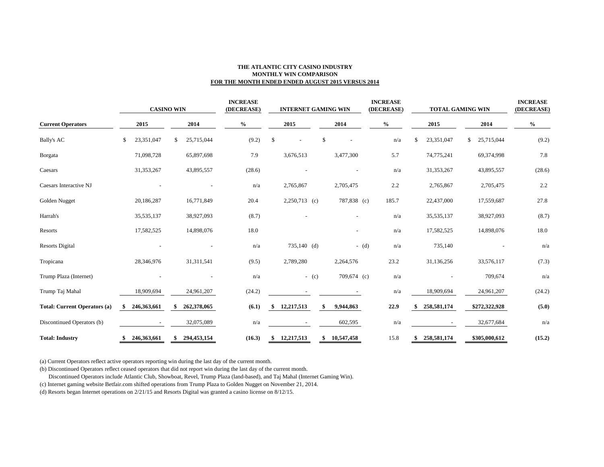### **THE ATLANTIC CITY CASINO INDUSTRY MONTHLY WIN COMPARISON FOR THE MONTH ENDED ENDED AUGUST 2015 VERSUS 2014**

|                                     | <b>CASINO WIN</b> |             |    |             | <b>INCREASE</b><br>(DECREASE) |        | <b>INTERNET GAMING WIN</b> |                 |         | <b>INCREASE</b><br>(DECREASE) |  | <b>TOTAL GAMING WIN</b> |     |              | <b>INCREASE</b><br>(DECREASE) |               |        |
|-------------------------------------|-------------------|-------------|----|-------------|-------------------------------|--------|----------------------------|-----------------|---------|-------------------------------|--|-------------------------|-----|--------------|-------------------------------|---------------|--------|
| <b>Current Operators</b>            | 2015              |             |    | 2014        | $\frac{6}{6}$                 |        |                            | 2015            |         | 2014                          |  | $\%$                    |     | 2015         |                               | 2014          | $\%$   |
| <b>Bally's AC</b>                   | \$                | 23,351,047  | \$ | 25,715,044  |                               | (9.2)  | \$                         |                 | \$      |                               |  | n/a                     | \$. | 23,351,047   | \$                            | 25,715,044    | (9.2)  |
| Borgata                             |                   | 71,098,728  |    | 65,897,698  |                               | 7.9    |                            | 3,676,513       |         | 3,477,300                     |  | 5.7                     |     | 74,775,241   |                               | 69,374,998    | 7.8    |
| Caesars                             |                   | 31,353,267  |    | 43,895,557  |                               | (28.6) |                            |                 |         |                               |  | n/a                     |     | 31,353,267   |                               | 43,895,557    | (28.6) |
| Caesars Interactive NJ              |                   |             |    |             |                               | n/a    |                            | 2,765,867       |         | 2,705,475                     |  | 2.2                     |     | 2,765,867    |                               | 2,705,475     | 2.2    |
| Golden Nugget                       |                   | 20,186,287  |    | 16,771,849  |                               | 20.4   |                            | $2,250,713$ (c) |         | 787,838 (c)                   |  | 185.7                   |     | 22,437,000   |                               | 17,559,687    | 27.8   |
| Harrah's                            |                   | 35,535,137  |    | 38,927,093  |                               | (8.7)  |                            |                 |         |                               |  | n/a                     |     | 35, 535, 137 |                               | 38,927,093    | (8.7)  |
| Resorts                             |                   | 17,582,525  |    | 14,898,076  |                               | 18.0   |                            |                 |         | $\overline{\phantom{a}}$      |  | n/a                     |     | 17,582,525   |                               | 14,898,076    | 18.0   |
| <b>Resorts Digital</b>              |                   |             |    |             |                               | n/a    |                            | $735,140$ (d)   |         | $-$ (d)                       |  | n/a                     |     | 735,140      |                               |               | n/a    |
| Tropicana                           |                   | 28,346,976  |    | 31,311,541  |                               | (9.5)  |                            | 2,789,280       |         | 2,264,576                     |  | 23.2                    |     | 31,136,256   |                               | 33,576,117    | (7.3)  |
| Trump Plaza (Internet)              |                   |             |    |             |                               | n/a    |                            |                 | $-$ (c) | 709,674 (c)                   |  | n/a                     |     |              |                               | 709,674       | n/a    |
| Trump Taj Mahal                     |                   | 18,909,694  |    | 24,961,207  |                               | (24.2) |                            |                 |         |                               |  | n/a                     |     | 18,909,694   |                               | 24,961,207    | (24.2) |
| <b>Total: Current Operators (a)</b> | -\$               | 246,363,661 | \$ | 262,378,065 |                               | (6.1)  | \$                         | 12,217,513      | \$      | 9,944,863                     |  | 22.9                    |     | 258,581,174  |                               | \$272,322,928 | (5.0)  |
| Discontinued Operators (b)          |                   |             |    | 32,075,089  |                               | n/a    |                            |                 |         | 602,595                       |  | n/a                     |     |              |                               | 32,677,684    | n/a    |
| <b>Total: Industry</b>              | \$                | 246,363,661 | \$ | 294,453,154 |                               | (16.3) | \$                         | 12,217,513      | \$      | 10,547,458                    |  | 15.8                    |     | 258,581,174  |                               | \$305,000,612 | (15.2) |

(a) Current Operators reflect active operators reporting win during the last day of the current month.

(b) Discontinued Operators reflect ceased operators that did not report win during the last day of the current month.

Discontinued Operators include Atlantic Club, Showboat, Revel, Trump Plaza (land-based), and Taj Mahal (Internet Gaming Win).

(c) Internet gaming website Betfair.com shifted operations from Trump Plaza to Golden Nugget on November 21, 2014.

(d) Resorts began Internet operations on 2/21/15 and Resorts Digital was granted a casino license on 8/12/15.